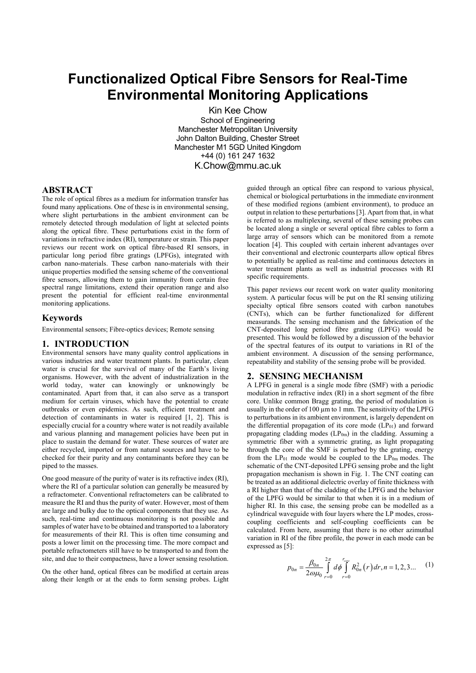# **Functionalized Optical Fibre Sensors for Real-Time Environmental Monitoring Applications**

Kin Kee Chow School of Engineering Manchester Metropolitan University John Dalton Building, Chester Street Manchester M1 5GD United Kingdom +44 (0) 161 247 1632 K.Chow@mmu.ac.uk

## **ABSTRACT**

The role of optical fibres as a medium for information transfer has found many applications. One of these is in environmental sensing, where slight perturbations in the ambient environment can be remotely detected through modulation of light at selected points along the optical fibre. These perturbations exist in the form of variations in refractive index (RI), temperature or strain. This paper reviews our recent work on optical fibre-based RI sensors, in particular long period fibre gratings (LPFGs), integrated with carbon nano-materials. These carbon nano-materials with their unique properties modified the sensing scheme of the conventional fibre sensors, allowing them to gain immunity from certain free spectral range limitations, extend their operation range and also present the potential for efficient real-time environmental monitoring applications.

## **Keywords**

Environmental sensors; Fibre-optics devices; Remote sensing

## **1. INTRODUCTION**

Environmental sensors have many quality control applications in various industries and water treatment plants. In particular, clean water is crucial for the survival of many of the Earth's living organisms. However, with the advent of industrialization in the world today, water can knowingly or unknowingly be contaminated. Apart from that, it can also serve as a transport medium for certain viruses, which have the potential to create outbreaks or even epidemics. As such, efficient treatment and detection of contaminants in water is required [1, 2]. This is especially crucial for a country where water is not readily available and various planning and management policies have been put in place to sustain the demand for water. These sources of water are either recycled, imported or from natural sources and have to be checked for their purity and any contaminants before they can be piped to the masses.

One good measure of the purity of water is its refractive index (RI), where the RI of a particular solution can generally be measured by a refractometer. Conventional refractometers can be calibrated to measure the RI and thus the purity of water. However, most of them are large and bulky due to the optical components that they use. As such, real-time and continuous monitoring is not possible and samples of water have to be obtained and transported to a laboratory for measurements of their RI. This is often time consuming and posts a lower limit on the processing time. The more compact and portable refractometers still have to be transported to and from the site, and due to their compactness, have a lower sensing resolution.

On the other hand, optical fibres can be modified at certain areas along their length or at the ends to form sensing probes. Light

guided through an optical fibre can respond to various physical, chemical or biological perturbations in the immediate environment of these modified regions (ambient environment), to produce an output in relation to these perturbations [3]. Apart from that, in what is referred to as multiplexing, several of these sensing probes can be located along a single or several optical fibre cables to form a large array of sensors which can be monitored from a remote location [4]. This coupled with certain inherent advantages over their conventional and electronic counterparts allow optical fibres to potentially be applied as real-time and continuous detectors in water treatment plants as well as industrial processes with RI specific requirements.

This paper reviews our recent work on water quality monitoring system. A particular focus will be put on the RI sensing utilizing specialty optical fibre sensors coated with carbon nanotubes (CNTs), which can be further functionalized for different measurands. The sensing mechanism and the fabrication of the CNT-deposited long period fibre grating (LPFG) would be presented. This would be followed by a discussion of the behavior of the spectral features of its output to variations in RI of the ambient environment. A discussion of the sensing performance, repeatability and stability of the sensing probe will be provided.

#### **2. SENSING MECHANISM**

A LPFG in general is a single mode fibre (SMF) with a periodic modulation in refractive index (RI) in a short segment of the fibre core. Unlike common Bragg grating, the period of modulation is usually in the order of 100  $\mu$ m to 1 mm. The sensitivity of the LPFG to perturbations in its ambient environment, is largely dependent on the differential propagation of its core mode  $(LP_{01})$  and forward propagating cladding modes  $(LP<sub>0m</sub>)$  in the cladding. Assuming a symmetric fiber with a symmetric grating, as light propagating through the core of the SMF is perturbed by the grating, energy from the LP01 mode would be coupled to the LP0m modes. The schematic of the CNT-deposited LPFG sensing probe and the light propagation mechanism is shown in Fig. 1. The CNT coating can be treated as an additional dielectric overlay of finite thickness with a RI higher than that of the cladding of the LPFG and the behavior of the LPFG would be similar to that when it is in a medium of higher RI. In this case, the sensing probe can be modelled as a cylindrical waveguide with four layers where the LP modes, crosscoupling coefficients and self-coupling coefficients can be calculated. From here, assuming that there is no other azimuthal variation in RI of the fibre profile, the power in each mode can be expressed as [5]:

$$
p_{0n} = \frac{\beta_{0n}}{2\omega\mu_0} \int_{r=0}^{2\pi} d\phi \int_{r=0}^{r_{core}} R_{0n}^2(r) dr, n = 1, 2, 3... \tag{1}
$$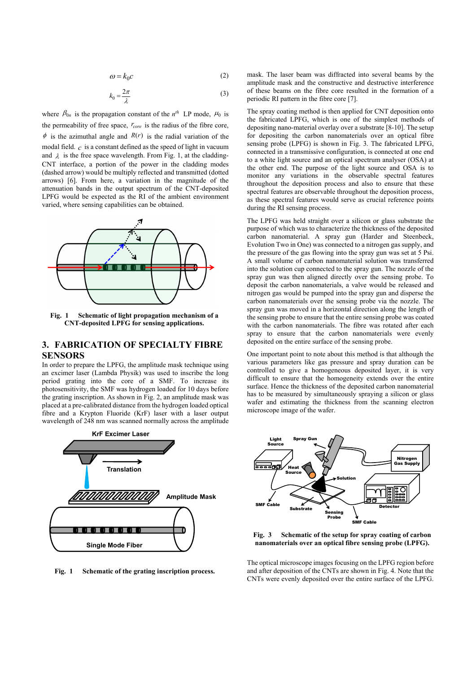$$
\omega = k_0 c \tag{2}
$$

$$
k_0 = \frac{2\pi}{\lambda} \tag{3}
$$

where  $\beta_{0n}$  is the propagation constant of the  $n^{th}$  LP mode,  $\mu_0$  is the permeability of free space,  $r_{core}$  is the radius of the fibre core,  $\phi$  is the azimuthal angle and  $R(r)$  is the radial variation of the modal field. *c* is a constant defined as the speed of light in vacuum and  $\lambda$  is the free space wavelength. From Fig. 1, at the cladding-CNT interface, a portion of the power in the cladding modes (dashed arrow) would be multiply reflected and transmitted (dotted arrows) [6]. From here, a variation in the magnitude of the attenuation bands in the output spectrum of the CNT-deposited LPFG would be expected as the RI of the ambient environment varied, where sensing capabilities can be obtained.



**Fig. 1 Schematic of light propagation mechanism of a CNT-deposited LPFG for sensing applications.** 

# **3. FABRICATION OF SPECIALTY FIBRE SENSORS**

In order to prepare the LPFG, the amplitude mask technique using an excimer laser (Lambda Physik) was used to inscribe the long period grating into the core of a SMF. To increase its photosensitivity, the SMF was hydrogen loaded for 10 days before the grating inscription. As shown in Fig. 2, an amplitude mask was placed at a pre-calibrated distance from the hydrogen loaded optical fibre and a Krypton Fluoride (KrF) laser with a laser output wavelength of 248 nm was scanned normally across the amplitude



**Fig. 1 Schematic of the grating inscription process.** 

mask. The laser beam was diffracted into several beams by the amplitude mask and the constructive and destructive interference of these beams on the fibre core resulted in the formation of a periodic RI pattern in the fibre core [7].

The spray coating method is then applied for CNT deposition onto the fabricated LPFG, which is one of the simplest methods of depositing nano-material overlay over a substrate [8-10]. The setup for depositing the carbon nanomaterials over an optical fibre sensing probe (LPFG) is shown in Fig. 3. The fabricated LPFG, connected in a transmissive configuration, is connected at one end to a white light source and an optical spectrum analyser (OSA) at the other end. The purpose of the light source and OSA is to monitor any variations in the observable spectral features throughout the deposition process and also to ensure that these spectral features are observable throughout the deposition process, as these spectral features would serve as crucial reference points during the RI sensing process.

The LPFG was held straight over a silicon or glass substrate the purpose of which was to characterize the thickness of the deposited carbon nanomaterial. A spray gun (Harder and Steenbeck, Evolution Two in One) was connected to a nitrogen gas supply, and the pressure of the gas flowing into the spray gun was set at 5 Psi. A small volume of carbon nanomaterial solution was transferred into the solution cup connected to the spray gun. The nozzle of the spray gun was then aligned directly over the sensing probe. To deposit the carbon nanomaterials, a valve would be released and nitrogen gas would be pumped into the spray gun and disperse the carbon nanomaterials over the sensing probe via the nozzle. The spray gun was moved in a horizontal direction along the length of the sensing probe to ensure that the entire sensing probe was coated with the carbon nanomaterials. The fibre was rotated after each spray to ensure that the carbon nanomaterials were evenly deposited on the entire surface of the sensing probe.

One important point to note about this method is that although the various parameters like gas pressure and spray duration can be controlled to give a homogeneous deposited layer, it is very difficult to ensure that the homogeneity extends over the entire surface. Hence the thickness of the deposited carbon nanomaterial has to be measured by simultaneously spraying a silicon or glass wafer and estimating the thickness from the scanning electron microscope image of the wafer.



**Fig. 3 Schematic of the setup for spray coating of carbon nanomaterials over an optical fibre sensing probe (LPFG).** 

The optical microscope images focusing on the LPFG region before and after deposition of the CNTs are shown in Fig. 4. Note that the CNTs were evenly deposited over the entire surface of the LPFG.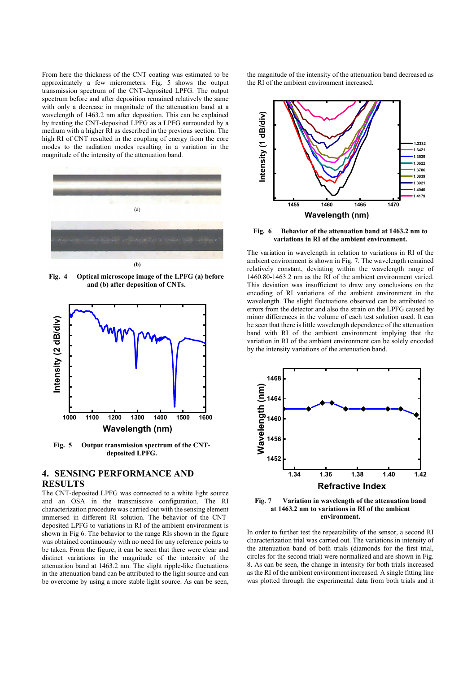From here the thickness of the CNT coating was estimated to be approximately a few micrometers. Fig. 5 shows the output transmission spectrum of the CNT-deposited LPFG. The output spectrum before and after deposition remained relatively the same with only a decrease in magnitude of the attenuation band at a wavelength of 1463.2 nm after deposition. This can be explained by treating the CNT-deposited LPFG as a LPFG surrounded by a medium with a higher RI as described in the previous section. The high RI of CNT resulted in the coupling of energy from the core modes to the radiation modes resulting in a variation in the magnitude of the intensity of the attenuation band.



**Fig. 4 Optical microscope image of the LPFG (a) before and (b) after deposition of CNTs.** 



**Fig. 5 Output transmission spectrum of the CNTdeposited LPFG.** 

# **4. SENSING PERFORMANCE AND RESULTS**

The CNT-deposited LPFG was connected to a white light source and an OSA in the transmissive configuration. The RI characterization procedure was carried out with the sensing element immersed in different RI solution. The behavior of the CNTdeposited LPFG to variations in RI of the ambient environment is shown in Fig 6. The behavior to the range RIs shown in the figure was obtained continuously with no need for any reference points to be taken. From the figure, it can be seen that there were clear and distinct variations in the magnitude of the intensity of the attenuation band at 1463.2 nm. The slight ripple-like fluctuations in the attenuation band can be attributed to the light source and can be overcome by using a more stable light source. As can be seen,

the magnitude of the intensity of the attenuation band decreased as the RI of the ambient environment increased.



**Fig. 6 Behavior of the attenuation band at 1463.2 nm to variations in RI of the ambient environment.** 

The variation in wavelength in relation to variations in RI of the ambient environment is shown in Fig. 7. The wavelength remained relatively constant, deviating within the wavelength range of 1460.80-1463.2 nm as the RI of the ambient environment varied. This deviation was insufficient to draw any conclusions on the encoding of RI variations of the ambient environment in the wavelength. The slight fluctuations observed can be attributed to errors from the detector and also the strain on the LPFG caused by minor differences in the volume of each test solution used. It can be seen that there is little wavelength dependence of the attenuation band with RI of the ambient environment implying that the variation in RI of the ambient environment can be solely encoded by the intensity variations of the attenuation band.



**Fig. 7 Variation in wavelength of the attenuation band at 1463.2 nm to variations in RI of the ambient environment.** 

In order to further test the repeatability of the sensor, a second RI characterization trial was carried out. The variations in intensity of the attenuation band of both trials (diamonds for the first trial, circles for the second trial) were normalized and are shown in Fig. 8. As can be seen, the change in intensity for both trials increased as the RI of the ambient environment increased. A single fitting line was plotted through the experimental data from both trials and it